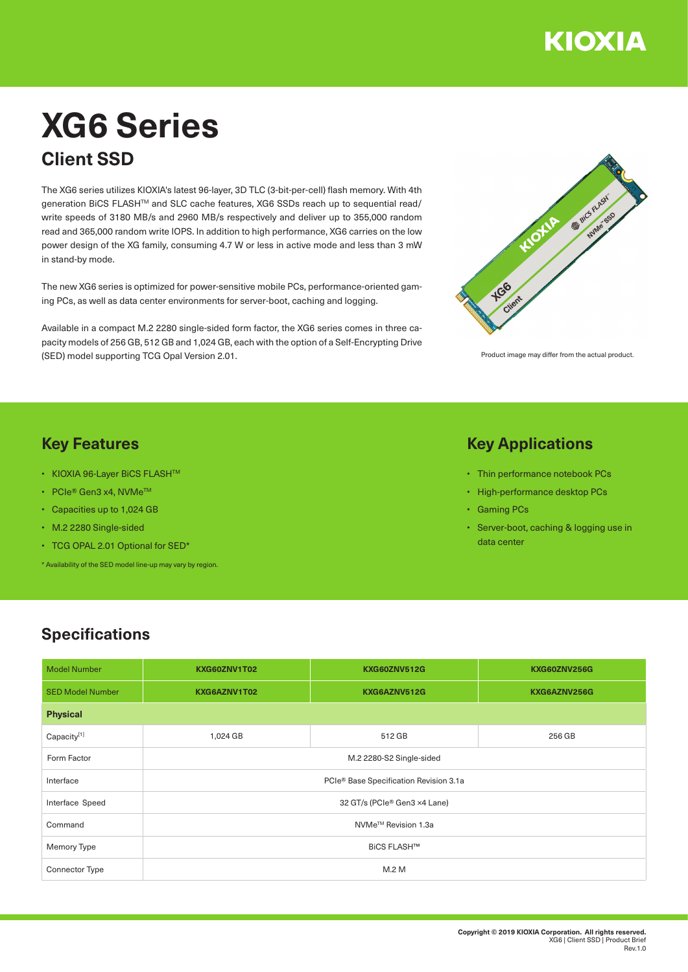

# **XG6 Series Client SSD**

The XG6 series utilizes KIOXIA's latest 96-layer, 3D TLC (3-bit-per-cell) flash memory. With 4th generation BiCS FLASH™ and SLC cache features, XG6 SSDs reach up to sequential read/ write speeds of 3180 MB/s and 2960 MB/s respectively and deliver up to 355,000 random read and 365,000 random write IOPS. In addition to high performance, XG6 carries on the low power design of the XG family, consuming 4.7 W or less in active mode and less than 3 mW in stand-by mode.

The new XG6 series is optimized for power-sensitive mobile PCs, performance-oriented gaming PCs, as well as data center environments for server-boot, caching and logging.

Available in a compact M.2 2280 single-sided form factor, the XG6 series comes in three capacity models of 256 GB, 512 GB and 1,024 GB, each with the option of a Self-Encrypting Drive (SED) model supporting TCG Opal Version 2.01.



Product image may differ from the actual product.

### **Key Features**

- KIOXIA 96-Layer BiCS FLASHTM
- PCIe® Gen3 x4, NVMeTM
- Capacities up to 1,024 GB
- M.2 2280 Single-sided
- TCG OPAL 2.01 Optional for SED\*

\* Availability of the SED model line-up may vary by region.

#### **Key Applications**

- Thin performance notebook PCs
- High-performance desktop PCs
- Gaming PCs
- Server-boot, caching & logging use in data center

#### **Specifications**

| <b>Model Number</b>     | KXG60ZNV1T02                           | <b>KXG60ZNV512G</b> | KXG60ZNV256G |  |  |  |
|-------------------------|----------------------------------------|---------------------|--------------|--|--|--|
| <b>SED Model Number</b> | KXG6AZNV1T02                           | KXG6AZNV512G        | KXG6AZNV256G |  |  |  |
| <b>Physical</b>         |                                        |                     |              |  |  |  |
| Capacity[1]             | 1,024 GB                               | 512 GB              | 256 GB       |  |  |  |
| Form Factor             | M.2 2280-S2 Single-sided               |                     |              |  |  |  |
| Interface               | PCIe® Base Specification Revision 3.1a |                     |              |  |  |  |
| Interface Speed         | 32 GT/s (PCIe® Gen3 ×4 Lane)           |                     |              |  |  |  |
| Command                 | NVMe <sup>™</sup> Revision 1.3a        |                     |              |  |  |  |
| Memory Type             | <b>BiCS FLASH™</b>                     |                     |              |  |  |  |
| <b>Connector Type</b>   | M.2 M                                  |                     |              |  |  |  |